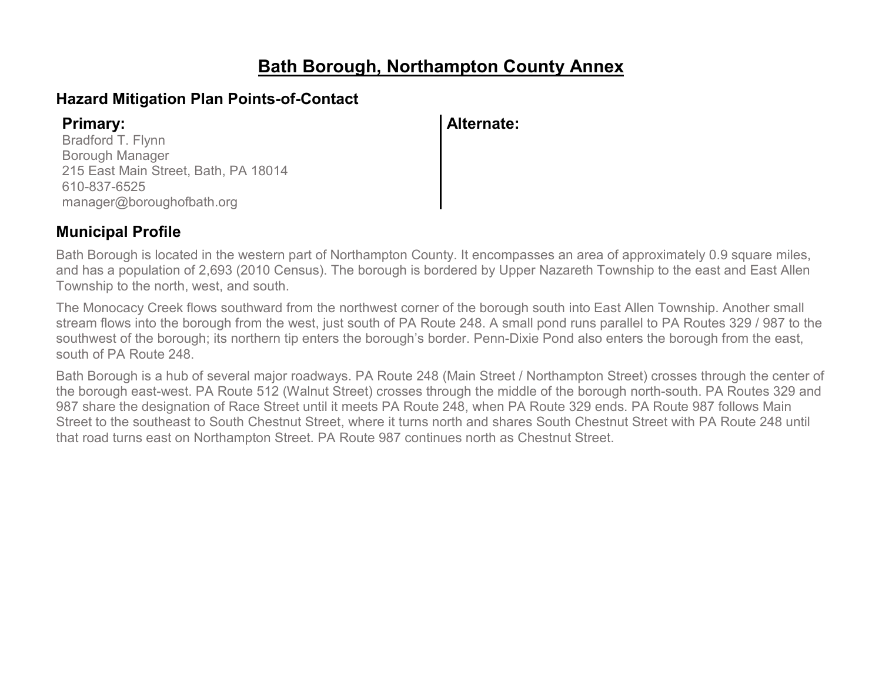## **Bath Borough, Northampton County Annex**

## **Hazard Mitigation Plan Points-of-Contact**

Bradford T. Flynn Borough Manager 215 East Main Street, Bath, PA 18014 610-837-6525 manager@boroughofbath.org

**Primary: Alternate:**

## **Municipal Profile**

Bath Borough is located in the western part of Northampton County. It encompasses an area of approximately 0.9 square miles, and has a population of 2,693 (2010 Census). The borough is bordered by Upper Nazareth Township to the east and East Allen Township to the north, west, and south.

The Monocacy Creek flows southward from the northwest corner of the borough south into East Allen Township. Another small stream flows into the borough from the west, just south of PA Route 248. A small pond runs parallel to PA Routes 329 / 987 to the southwest of the borough; its northern tip enters the borough's border. Penn-Dixie Pond also enters the borough from the east, south of PA Route 248.

Bath Borough is a hub of several major roadways. PA Route 248 (Main Street / Northampton Street) crosses through the center of the borough east-west. PA Route 512 (Walnut Street) crosses through the middle of the borough north-south. PA Routes 329 and 987 share the designation of Race Street until it meets PA Route 248, when PA Route 329 ends. PA Route 987 follows Main Street to the southeast to South Chestnut Street, where it turns north and shares South Chestnut Street with PA Route 248 until that road turns east on Northampton Street. PA Route 987 continues north as Chestnut Street.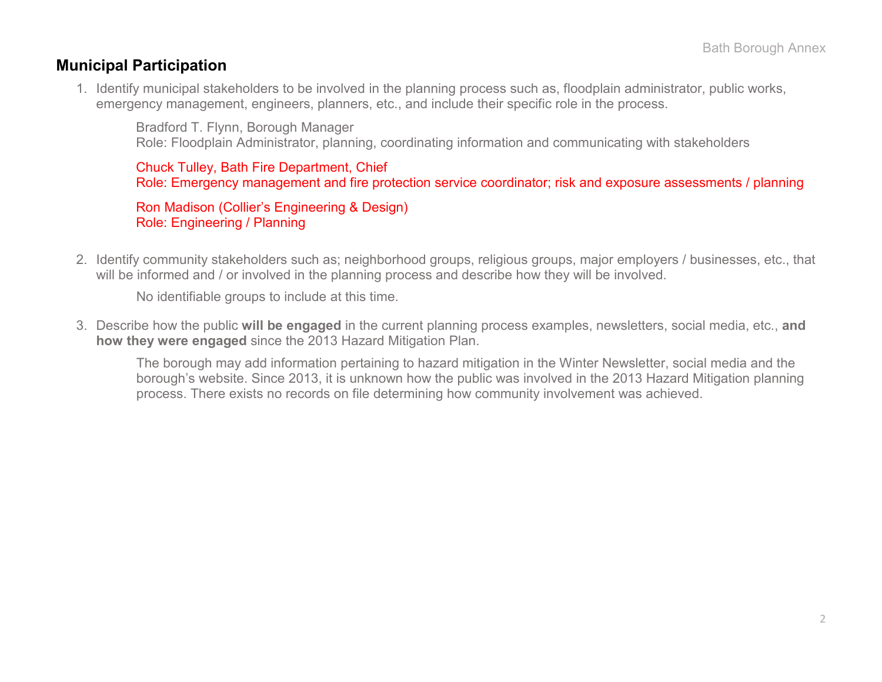### **Municipal Participation**

1. Identify municipal stakeholders to be involved in the planning process such as, floodplain administrator, public works, emergency management, engineers, planners, etc., and include their specific role in the process.

Bradford T. Flynn, Borough Manager Role: Floodplain Administrator, planning, coordinating information and communicating with stakeholders

Chuck Tulley, Bath Fire Department, Chief Role: Emergency management and fire protection service coordinator; risk and exposure assessments / planning

Ron Madison (Collier's Engineering & Design) Role: Engineering / Planning

2. Identify community stakeholders such as; neighborhood groups, religious groups, major employers / businesses, etc., that will be informed and / or involved in the planning process and describe how they will be involved.

No identifiable groups to include at this time.

3. Describe how the public **will be engaged** in the current planning process examples, newsletters, social media, etc., **and how they were engaged** since the 2013 Hazard Mitigation Plan.

The borough may add information pertaining to hazard mitigation in the Winter Newsletter, social media and the borough's website. Since 2013, it is unknown how the public was involved in the 2013 Hazard Mitigation planning process. There exists no records on file determining how community involvement was achieved.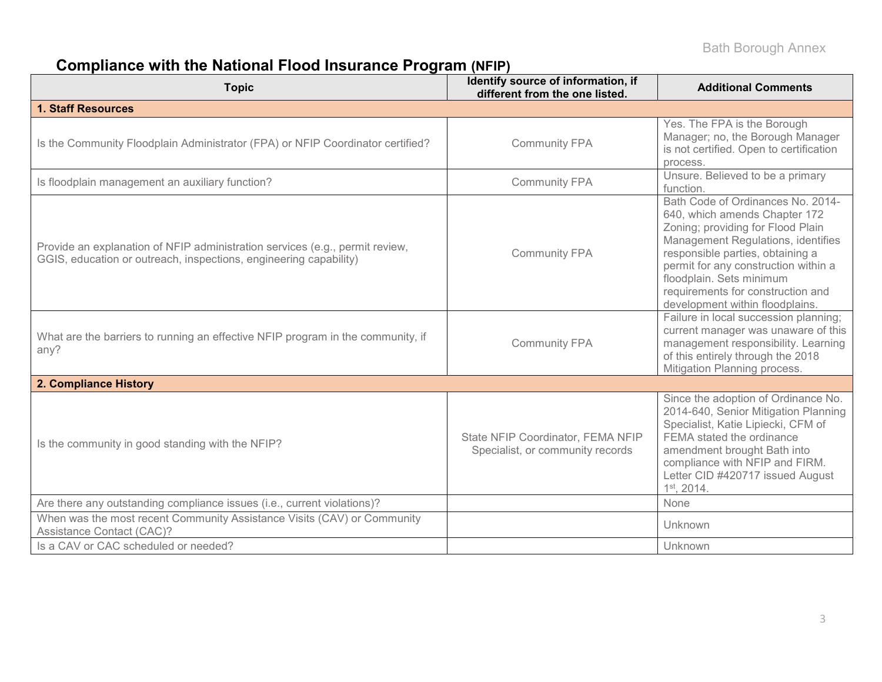# **Compliance with the National Flood Insurance Program (NFIP)**

| <b>Topic</b>                                                                                                                                      | Identify source of information, if<br>different from the one listed.  | <b>Additional Comments</b>                                                                                                                                                                                                                                                                                                    |
|---------------------------------------------------------------------------------------------------------------------------------------------------|-----------------------------------------------------------------------|-------------------------------------------------------------------------------------------------------------------------------------------------------------------------------------------------------------------------------------------------------------------------------------------------------------------------------|
| <b>1. Staff Resources</b>                                                                                                                         |                                                                       |                                                                                                                                                                                                                                                                                                                               |
| Is the Community Floodplain Administrator (FPA) or NFIP Coordinator certified?                                                                    | <b>Community FPA</b>                                                  | Yes. The FPA is the Borough<br>Manager; no, the Borough Manager<br>is not certified. Open to certification<br>process.                                                                                                                                                                                                        |
| Is floodplain management an auxiliary function?                                                                                                   | <b>Community FPA</b>                                                  | Unsure. Believed to be a primary<br>function.                                                                                                                                                                                                                                                                                 |
| Provide an explanation of NFIP administration services (e.g., permit review,<br>GGIS, education or outreach, inspections, engineering capability) | <b>Community FPA</b>                                                  | Bath Code of Ordinances No. 2014-<br>640, which amends Chapter 172<br>Zoning; providing for Flood Plain<br>Management Regulations, identifies<br>responsible parties, obtaining a<br>permit for any construction within a<br>floodplain. Sets minimum<br>requirements for construction and<br>development within floodplains. |
| What are the barriers to running an effective NFIP program in the community, if<br>any?                                                           | <b>Community FPA</b>                                                  | Failure in local succession planning;<br>current manager was unaware of this<br>management responsibility. Learning<br>of this entirely through the 2018<br>Mitigation Planning process.                                                                                                                                      |
| 2. Compliance History                                                                                                                             |                                                                       |                                                                                                                                                                                                                                                                                                                               |
| Is the community in good standing with the NFIP?                                                                                                  | State NFIP Coordinator, FEMA NFIP<br>Specialist, or community records | Since the adoption of Ordinance No.<br>2014-640, Senior Mitigation Planning<br>Specialist, Katie Lipiecki, CFM of<br>FEMA stated the ordinance<br>amendment brought Bath into<br>compliance with NFIP and FIRM.<br>Letter CID #420717 issued August<br>1st, 2014.                                                             |
| Are there any outstanding compliance issues (i.e., current violations)?                                                                           |                                                                       | None                                                                                                                                                                                                                                                                                                                          |
| When was the most recent Community Assistance Visits (CAV) or Community<br>Assistance Contact (CAC)?                                              |                                                                       | Unknown                                                                                                                                                                                                                                                                                                                       |
| Is a CAV or CAC scheduled or needed?                                                                                                              |                                                                       | Unknown                                                                                                                                                                                                                                                                                                                       |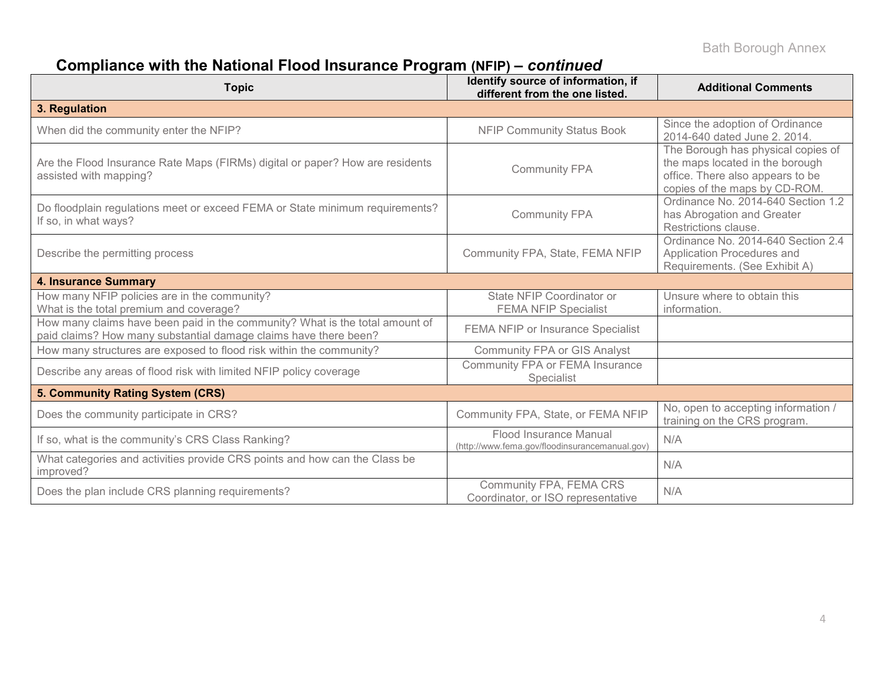# **Compliance with the National Flood Insurance Program (NFIP) –** *continued*

| <b>Topic</b>                                                                                                                                     | Identify source of information, if<br>different from the one listed.     | <b>Additional Comments</b>                                                                                                                 |
|--------------------------------------------------------------------------------------------------------------------------------------------------|--------------------------------------------------------------------------|--------------------------------------------------------------------------------------------------------------------------------------------|
| 3. Regulation                                                                                                                                    |                                                                          |                                                                                                                                            |
| When did the community enter the NFIP?                                                                                                           | <b>NFIP Community Status Book</b>                                        | Since the adoption of Ordinance<br>2014-640 dated June 2, 2014.                                                                            |
| Are the Flood Insurance Rate Maps (FIRMs) digital or paper? How are residents<br>assisted with mapping?                                          | <b>Community FPA</b>                                                     | The Borough has physical copies of<br>the maps located in the borough<br>office. There also appears to be<br>copies of the maps by CD-ROM. |
| Do floodplain regulations meet or exceed FEMA or State minimum requirements?<br>If so, in what ways?                                             | <b>Community FPA</b>                                                     | Ordinance No. 2014-640 Section 1.2<br>has Abrogation and Greater<br>Restrictions clause.                                                   |
| Describe the permitting process                                                                                                                  | Community FPA, State, FEMA NFIP                                          | Ordinance No. 2014-640 Section 2.4<br>Application Procedures and<br>Requirements. (See Exhibit A)                                          |
| <b>4. Insurance Summary</b>                                                                                                                      |                                                                          |                                                                                                                                            |
| How many NFIP policies are in the community?<br>What is the total premium and coverage?                                                          | State NFIP Coordinator or<br><b>FEMA NFIP Specialist</b>                 | Unsure where to obtain this<br>information.                                                                                                |
| How many claims have been paid in the community? What is the total amount of<br>paid claims? How many substantial damage claims have there been? | <b>FEMA NFIP or Insurance Specialist</b>                                 |                                                                                                                                            |
| How many structures are exposed to flood risk within the community?                                                                              | Community FPA or GIS Analyst                                             |                                                                                                                                            |
| Describe any areas of flood risk with limited NFIP policy coverage                                                                               | Community FPA or FEMA Insurance<br>Specialist                            |                                                                                                                                            |
| 5. Community Rating System (CRS)                                                                                                                 |                                                                          |                                                                                                                                            |
| Does the community participate in CRS?                                                                                                           | Community FPA, State, or FEMA NFIP                                       | No, open to accepting information /<br>training on the CRS program.                                                                        |
| If so, what is the community's CRS Class Ranking?                                                                                                | Flood Insurance Manual<br>(http://www.fema.gov/floodinsurancemanual.gov) | N/A                                                                                                                                        |
| What categories and activities provide CRS points and how can the Class be<br>improved?                                                          |                                                                          | N/A                                                                                                                                        |
| Does the plan include CRS planning requirements?                                                                                                 | Community FPA, FEMA CRS<br>Coordinator, or ISO representative            | N/A                                                                                                                                        |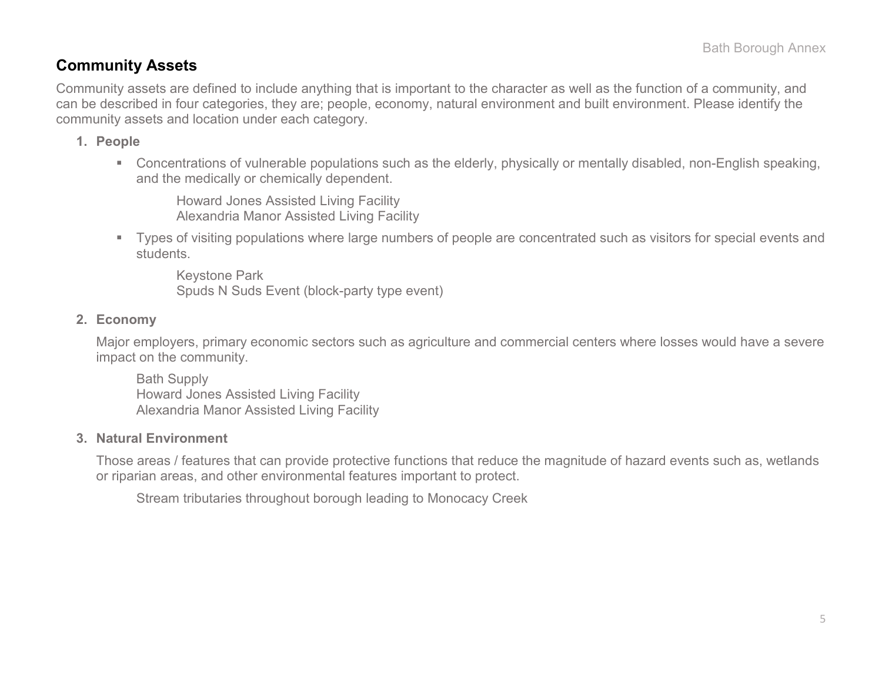## **Community Assets**

Community assets are defined to include anything that is important to the character as well as the function of a community, and can be described in four categories, they are; people, economy, natural environment and built environment. Please identify the community assets and location under each category.

### **1. People**

 Concentrations of vulnerable populations such as the elderly, physically or mentally disabled, non-English speaking, and the medically or chemically dependent.

Howard Jones Assisted Living Facility Alexandria Manor Assisted Living Facility

 Types of visiting populations where large numbers of people are concentrated such as visitors for special events and students.

Keystone Park Spuds N Suds Event (block-party type event)

### **2. Economy**

Major employers, primary economic sectors such as agriculture and commercial centers where losses would have a severe impact on the community.

Bath Supply Howard Jones Assisted Living Facility Alexandria Manor Assisted Living Facility

### **3. Natural Environment**

Those areas / features that can provide protective functions that reduce the magnitude of hazard events such as, wetlands or riparian areas, and other environmental features important to protect.

Stream tributaries throughout borough leading to Monocacy Creek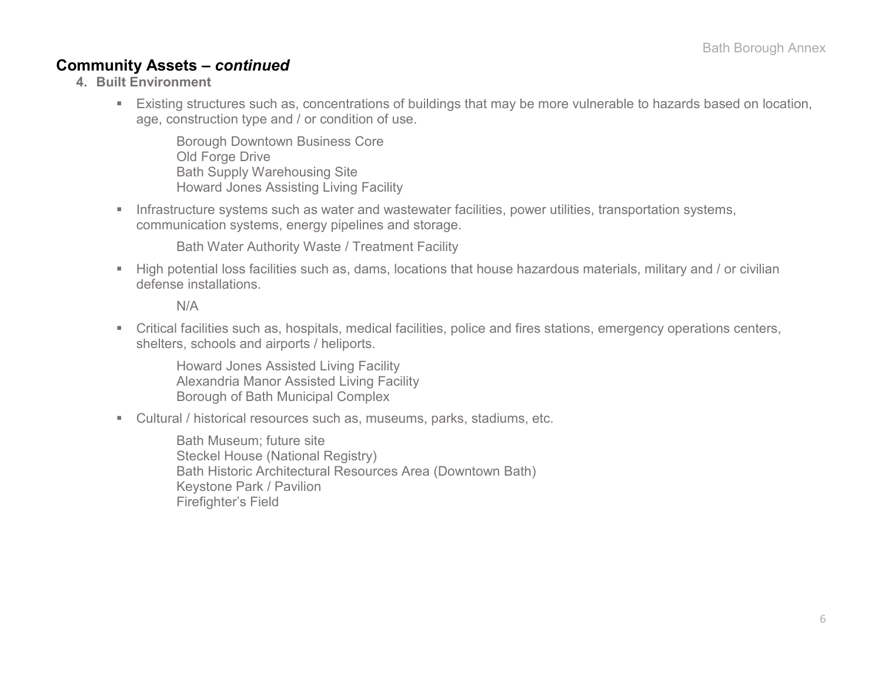## **Community Assets –** *continued*

- **4. Built Environment**
	- Existing structures such as, concentrations of buildings that may be more vulnerable to hazards based on location, age, construction type and / or condition of use.

Borough Downtown Business Core Old Forge Drive Bath Supply Warehousing Site Howard Jones Assisting Living Facility

**Infrastructure systems such as water and wastewater facilities, power utilities, transportation systems,** communication systems, energy pipelines and storage.

Bath Water Authority Waste / Treatment Facility

 High potential loss facilities such as, dams, locations that house hazardous materials, military and / or civilian defense installations.

N/A

 Critical facilities such as, hospitals, medical facilities, police and fires stations, emergency operations centers, shelters, schools and airports / heliports.

Howard Jones Assisted Living Facility Alexandria Manor Assisted Living Facility Borough of Bath Municipal Complex

Cultural / historical resources such as, museums, parks, stadiums, etc.

Bath Museum; future site Steckel House (National Registry) Bath Historic Architectural Resources Area (Downtown Bath) Keystone Park / Pavilion Firefighter's Field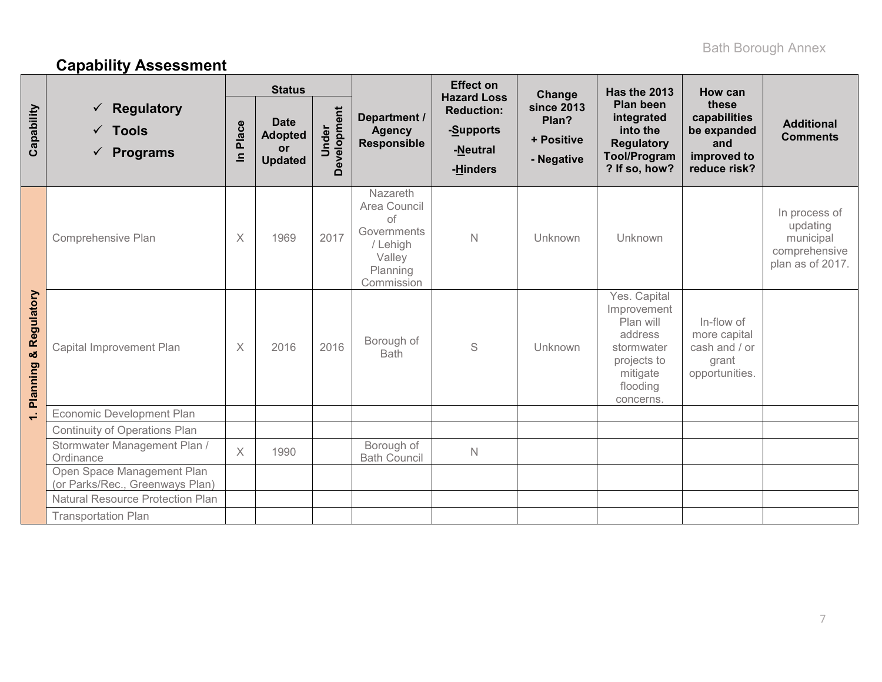# **Capability Assessment**

|                                  |                                                                                            | <b>Status</b>   |                                                              |                      |                                                                                               | <b>Effect on</b><br><b>Hazard Loss</b>                 | Change                                                 | <b>Has the 2013</b>                                                                                                   | How can                                                                    |                                                                             |
|----------------------------------|--------------------------------------------------------------------------------------------|-----------------|--------------------------------------------------------------|----------------------|-----------------------------------------------------------------------------------------------|--------------------------------------------------------|--------------------------------------------------------|-----------------------------------------------------------------------------------------------------------------------|----------------------------------------------------------------------------|-----------------------------------------------------------------------------|
| Capability                       | <b>Regulatory</b><br>$\checkmark$<br>$\checkmark$ Tools<br><b>Programs</b><br>$\checkmark$ | Place<br>$\leq$ | <b>Date</b><br><b>Adopted</b><br><b>or</b><br><b>Updated</b> | Development<br>Under | Department /<br><b>Agency</b><br><b>Responsible</b>                                           | <b>Reduction:</b><br>-Supports<br>-Neutral<br>-Hinders | <b>since 2013</b><br>Plan?<br>+ Positive<br>- Negative | Plan been<br>integrated<br>into the<br><b>Regulatory</b><br><b>Tool/Program</b><br>? If so, how?                      | these<br>capabilities<br>be expanded<br>and<br>improved to<br>reduce risk? | <b>Additional</b><br><b>Comments</b>                                        |
|                                  | Comprehensive Plan                                                                         | $\times$        | 1969                                                         | 2017                 | Nazareth<br>Area Council<br>of<br>Governments<br>/ Lehigh<br>Valley<br>Planning<br>Commission | $\mathsf{N}$                                           | Unknown                                                | Unknown                                                                                                               |                                                                            | In process of<br>updating<br>municipal<br>comprehensive<br>plan as of 2017. |
| <b>Planning &amp; Regulatory</b> | Capital Improvement Plan                                                                   | $\times$        | 2016                                                         | 2016                 | Borough of<br><b>Bath</b>                                                                     | S                                                      | Unknown                                                | Yes. Capital<br>Improvement<br>Plan will<br>address<br>stormwater<br>projects to<br>mitigate<br>flooding<br>concerns. | In-flow of<br>more capital<br>cash and / or<br>grant<br>opportunities.     |                                                                             |
| $\div$                           | Economic Development Plan                                                                  |                 |                                                              |                      |                                                                                               |                                                        |                                                        |                                                                                                                       |                                                                            |                                                                             |
|                                  | <b>Continuity of Operations Plan</b>                                                       |                 |                                                              |                      |                                                                                               |                                                        |                                                        |                                                                                                                       |                                                                            |                                                                             |
|                                  | Stormwater Management Plan /<br>Ordinance                                                  | $\chi$          | 1990                                                         |                      | Borough of<br><b>Bath Council</b>                                                             | N                                                      |                                                        |                                                                                                                       |                                                                            |                                                                             |
|                                  | Open Space Management Plan<br>(or Parks/Rec., Greenways Plan)                              |                 |                                                              |                      |                                                                                               |                                                        |                                                        |                                                                                                                       |                                                                            |                                                                             |
|                                  | <b>Natural Resource Protection Plan</b>                                                    |                 |                                                              |                      |                                                                                               |                                                        |                                                        |                                                                                                                       |                                                                            |                                                                             |
|                                  | <b>Transportation Plan</b>                                                                 |                 |                                                              |                      |                                                                                               |                                                        |                                                        |                                                                                                                       |                                                                            |                                                                             |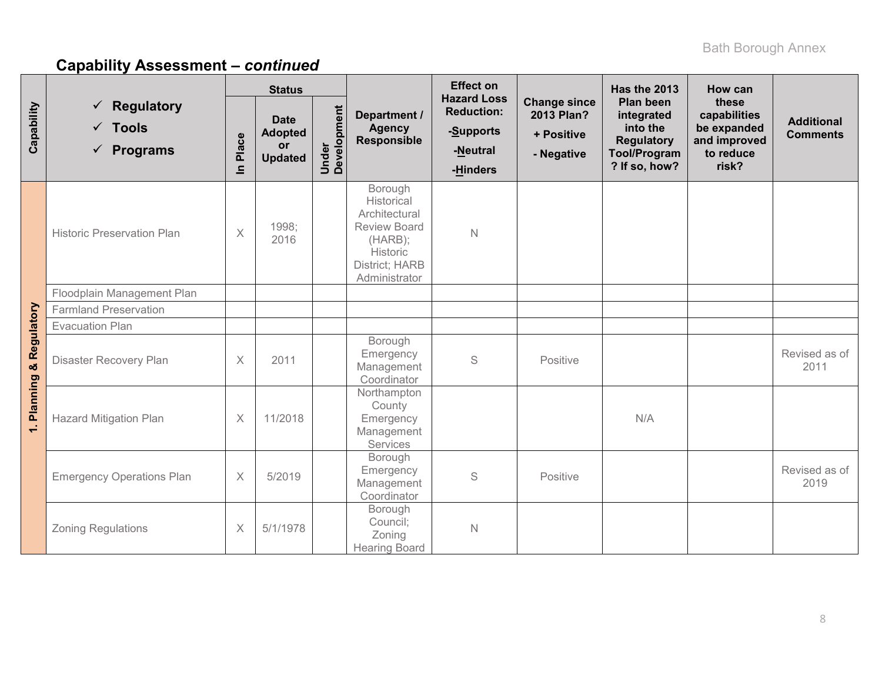|                           |                                                                        | <b>Status</b>           |                                                       |                      |                                                                                                                         | <b>Effect on</b>                                       | <b>Hazard Loss</b>                                            |                                                                                                  | How can                                                                    |                                      |
|---------------------------|------------------------------------------------------------------------|-------------------------|-------------------------------------------------------|----------------------|-------------------------------------------------------------------------------------------------------------------------|--------------------------------------------------------|---------------------------------------------------------------|--------------------------------------------------------------------------------------------------|----------------------------------------------------------------------------|--------------------------------------|
| Capability                | $\checkmark$ Regulatory<br>$\checkmark$ Tools<br>$\checkmark$ Programs | Place<br>$\overline{=}$ | <b>Date</b><br><b>Adopted</b><br>or<br><b>Updated</b> | Under<br>Development | Department /<br><b>Agency</b><br>Responsible                                                                            | <b>Reduction:</b><br>-Supports<br>-Neutral<br>-Hinders | <b>Change since</b><br>2013 Plan?<br>+ Positive<br>- Negative | Plan been<br>integrated<br>into the<br><b>Regulatory</b><br><b>Tool/Program</b><br>? If so, how? | these<br>capabilities<br>be expanded<br>and improved<br>to reduce<br>risk? | <b>Additional</b><br><b>Comments</b> |
|                           | <b>Historic Preservation Plan</b>                                      | X                       | 1998;<br>2016                                         |                      | Borough<br>Historical<br>Architectural<br><b>Review Board</b><br>(HARB);<br>Historic<br>District; HARB<br>Administrator | $\mathbb N$                                            |                                                               |                                                                                                  |                                                                            |                                      |
|                           | Floodplain Management Plan                                             |                         |                                                       |                      |                                                                                                                         |                                                        |                                                               |                                                                                                  |                                                                            |                                      |
|                           | <b>Farmland Preservation</b>                                           |                         |                                                       |                      |                                                                                                                         |                                                        |                                                               |                                                                                                  |                                                                            |                                      |
|                           | <b>Evacuation Plan</b>                                                 |                         |                                                       |                      |                                                                                                                         |                                                        |                                                               |                                                                                                  |                                                                            |                                      |
| & Regulatory              | Disaster Recovery Plan                                                 | X                       | 2011                                                  |                      | Borough<br>Emergency<br>Management<br>Coordinator                                                                       | S                                                      | Positive                                                      |                                                                                                  |                                                                            | Revised as of<br>2011                |
| <b>Planning</b><br>$\div$ | <b>Hazard Mitigation Plan</b>                                          | X                       | 11/2018                                               |                      | Northampton<br>County<br>Emergency<br>Management<br>Services                                                            |                                                        |                                                               | N/A                                                                                              |                                                                            |                                      |
|                           | <b>Emergency Operations Plan</b>                                       | X                       | 5/2019                                                |                      | Borough<br>Emergency<br>Management<br>Coordinator                                                                       | S                                                      | Positive                                                      |                                                                                                  |                                                                            | Revised as of<br>2019                |
|                           | <b>Zoning Regulations</b>                                              | X                       | 5/1/1978                                              |                      | Borough<br>Council;<br>Zoning<br><b>Hearing Board</b>                                                                   | $\mathbb N$                                            |                                                               |                                                                                                  |                                                                            |                                      |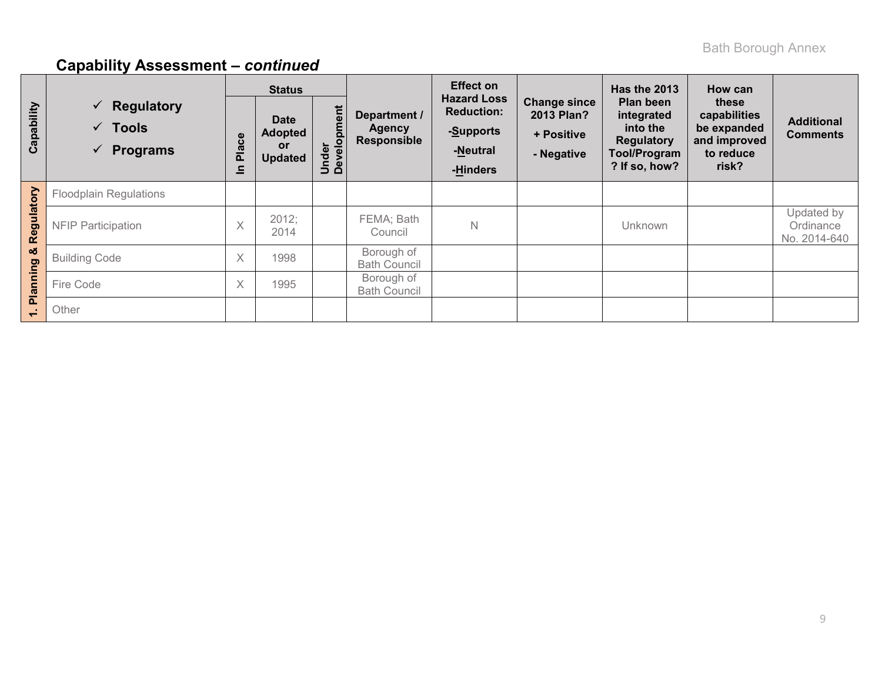|                 |                                                                           |                                 | <b>Status</b>                                         |                      |                                              | <b>Effect on</b>                                                             |                                                                      | Has the 2013                                                                                     | How can                                                                    |                                         |
|-----------------|---------------------------------------------------------------------------|---------------------------------|-------------------------------------------------------|----------------------|----------------------------------------------|------------------------------------------------------------------------------|----------------------------------------------------------------------|--------------------------------------------------------------------------------------------------|----------------------------------------------------------------------------|-----------------------------------------|
| Capability      | $\checkmark$ Regulatory<br>$\checkmark$ Tools<br>Programs<br>$\checkmark$ | ace<br>$\ddot{\mathbf{a}}$<br>드 | <b>Date</b><br><b>Adopted</b><br>or<br><b>Updated</b> | Under<br>Development | Department /<br>Agency<br><b>Responsible</b> | <b>Hazard Loss</b><br><b>Reduction:</b><br>-Supports<br>-Neutral<br>-Hinders | <b>Change since</b><br><b>2013 Plan?</b><br>+ Positive<br>- Negative | Plan been<br>integrated<br>into the<br><b>Regulatory</b><br><b>Tool/Program</b><br>? If so, how? | these<br>capabilities<br>be expanded<br>and improved<br>to reduce<br>risk? | <b>Additional</b><br><b>Comments</b>    |
|                 | <b>Floodplain Regulations</b>                                             |                                 |                                                       |                      |                                              |                                                                              |                                                                      |                                                                                                  |                                                                            |                                         |
| Regulatory      | <b>NFIP Participation</b>                                                 | $\checkmark$<br>∧               | 2012;<br>2014                                         |                      | FEMA; Bath<br>Council                        | $\mathsf{N}$                                                                 |                                                                      | Unknown                                                                                          |                                                                            | Updated by<br>Ordinance<br>No. 2014-640 |
| ఱ               | <b>Building Code</b>                                                      | $\times$                        | 1998                                                  |                      | Borough of<br><b>Bath Council</b>            |                                                                              |                                                                      |                                                                                                  |                                                                            |                                         |
| <b>Planning</b> | Fire Code                                                                 | $\times$                        | 1995                                                  |                      | Borough of<br><b>Bath Council</b>            |                                                                              |                                                                      |                                                                                                  |                                                                            |                                         |
| $\div$          | Other                                                                     |                                 |                                                       |                      |                                              |                                                                              |                                                                      |                                                                                                  |                                                                            |                                         |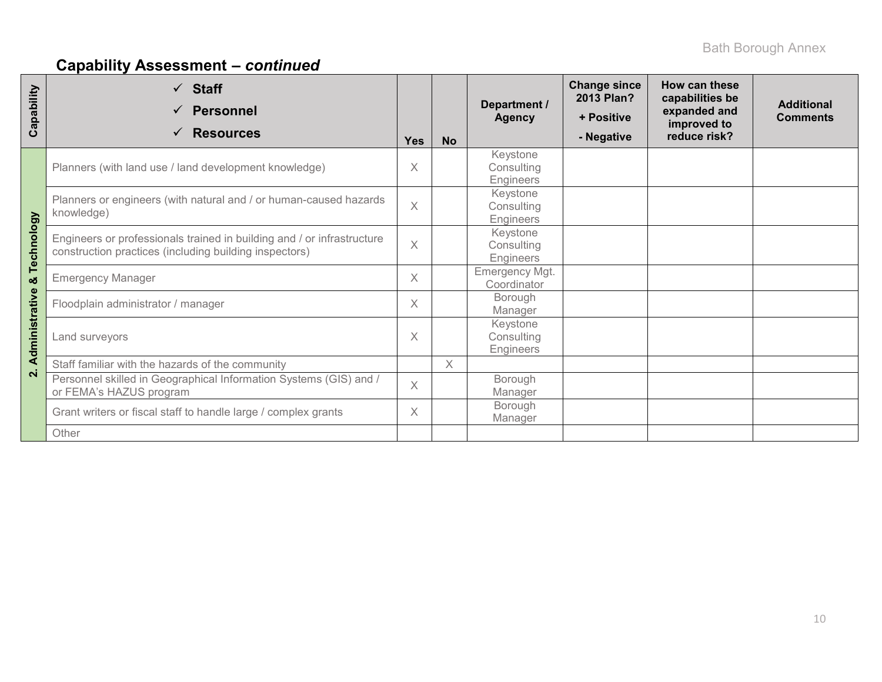| Capability     | $\checkmark$ Staff<br><b>Personnel</b><br><b>Resources</b>                                                                       | <b>Yes</b> | <b>No</b> | Department /<br><b>Agency</b>       | <b>Change since</b><br>2013 Plan?<br>+ Positive<br>- Negative | How can these<br>capabilities be<br>expanded and<br>improved to<br>reduce risk? | <b>Additional</b><br><b>Comments</b> |
|----------------|----------------------------------------------------------------------------------------------------------------------------------|------------|-----------|-------------------------------------|---------------------------------------------------------------|---------------------------------------------------------------------------------|--------------------------------------|
|                | Planners (with land use / land development knowledge)                                                                            | Χ          |           | Keystone<br>Consulting<br>Engineers |                                                               |                                                                                 |                                      |
|                | Planners or engineers (with natural and / or human-caused hazards<br>knowledge)                                                  | $\times$   |           | Keystone<br>Consulting<br>Engineers |                                                               |                                                                                 |                                      |
| Technology     | Engineers or professionals trained in building and / or infrastructure<br>construction practices (including building inspectors) |            |           | Keystone<br>Consulting<br>Engineers |                                                               |                                                                                 |                                      |
| ಯ              | <b>Emergency Manager</b>                                                                                                         | $\times$   |           | Emergency Mgt.<br>Coordinator       |                                                               |                                                                                 |                                      |
|                | Floodplain administrator / manager                                                                                               | $\times$   |           | Borough<br>Manager                  |                                                               |                                                                                 |                                      |
| Administrative | Land surveyors                                                                                                                   | X          |           | Keystone<br>Consulting<br>Engineers |                                                               |                                                                                 |                                      |
|                | Staff familiar with the hazards of the community                                                                                 |            | X         |                                     |                                                               |                                                                                 |                                      |
| $\overline{N}$ | Personnel skilled in Geographical Information Systems (GIS) and /<br>or FEMA's HAZUS program                                     | $\times$   |           | Borough<br>Manager                  |                                                               |                                                                                 |                                      |
|                | Grant writers or fiscal staff to handle large / complex grants                                                                   | $\times$   |           | Borough<br>Manager                  |                                                               |                                                                                 |                                      |
|                | Other                                                                                                                            |            |           |                                     |                                                               |                                                                                 |                                      |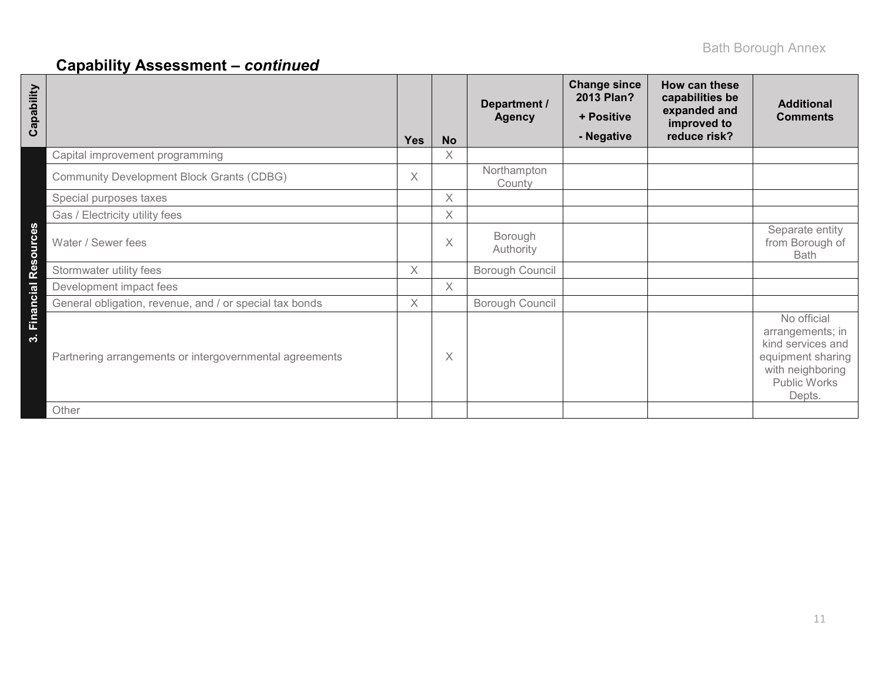| Capability             |                                                         | <b>Yes</b> | <b>No</b> | Department /<br><b>Agency</b> | <b>Change since</b><br>2013 Plan?<br>+ Positive<br>- Negative | How can these<br>capabilities be<br>expanded and<br>improved to<br>reduce risk? | <b>Additional</b><br><b>Comments</b>                                                                                    |
|------------------------|---------------------------------------------------------|------------|-----------|-------------------------------|---------------------------------------------------------------|---------------------------------------------------------------------------------|-------------------------------------------------------------------------------------------------------------------------|
|                        | Capital improvement programming                         |            | X         |                               |                                                               |                                                                                 |                                                                                                                         |
|                        | <b>Community Development Block Grants (CDBG)</b>        | $\times$   |           | Northampton<br>County         |                                                               |                                                                                 |                                                                                                                         |
|                        | Special purposes taxes                                  |            | X         |                               |                                                               |                                                                                 |                                                                                                                         |
|                        | Gas / Electricity utility fees                          |            | X         |                               |                                                               |                                                                                 |                                                                                                                         |
| 3. Financial Resources | Water / Sewer fees                                      |            | X         | Borough<br>Authority          |                                                               |                                                                                 | Separate entity<br>from Borough of<br><b>Bath</b>                                                                       |
|                        | Stormwater utility fees                                 | $\times$   |           | Borough Council               |                                                               |                                                                                 |                                                                                                                         |
|                        | Development impact fees                                 |            | $\chi$    |                               |                                                               |                                                                                 |                                                                                                                         |
|                        | General obligation, revenue, and / or special tax bonds | $\times$   |           | Borough Council               |                                                               |                                                                                 |                                                                                                                         |
|                        | Partnering arrangements or intergovernmental agreements |            | X         |                               |                                                               |                                                                                 | No official<br>arrangements; in<br>kind services and<br>equipment sharing<br>with neighboring<br>Public Works<br>Depts. |
|                        | Other                                                   |            |           |                               |                                                               |                                                                                 |                                                                                                                         |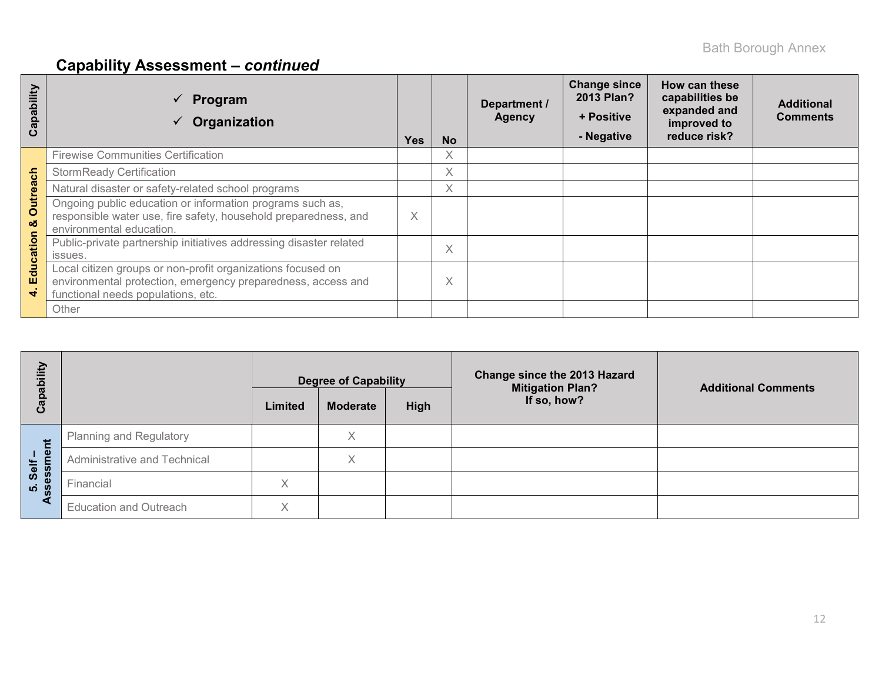| ability<br>ap<br>ပ      | Program<br>Organization                                                                                                                                           | <b>Yes</b> | <b>No</b> | Department /<br><b>Agency</b> | <b>Change since</b><br>2013 Plan?<br>+ Positive<br>- Negative | How can these<br>capabilities be<br>expanded and<br>improved to<br>reduce risk? | <b>Additional</b><br><b>Comments</b> |
|-------------------------|-------------------------------------------------------------------------------------------------------------------------------------------------------------------|------------|-----------|-------------------------------|---------------------------------------------------------------|---------------------------------------------------------------------------------|--------------------------------------|
|                         | <b>Firewise Communities Certification</b>                                                                                                                         |            | X         |                               |                                                               |                                                                                 |                                      |
| ach                     | <b>StormReady Certification</b>                                                                                                                                   |            | X         |                               |                                                               |                                                                                 |                                      |
|                         | Natural disaster or safety-related school programs                                                                                                                |            | Χ         |                               |                                                               |                                                                                 |                                      |
| <b>Outrea</b><br>oð     | Ongoing public education or information programs such as,<br>responsible water use, fire safety, household preparedness, and<br>environmental education.          | $\times$   |           |                               |                                                               |                                                                                 |                                      |
| ation<br>ပ              | Public-private partnership initiatives addressing disaster related<br>issues.                                                                                     |            | X         |                               |                                                               |                                                                                 |                                      |
| $\frac{1}{\sigma}$<br>ш | Local citizen groups or non-profit organizations focused on<br>environmental protection, emergency preparedness, access and<br>functional needs populations, etc. |            | X         |                               |                                                               |                                                                                 |                                      |
|                         | Other                                                                                                                                                             |            |           |                               |                                                               |                                                                                 |                                      |

| ξÎ<br>o<br><del>ہ</del> ے               |                                | Limited | <b>Degree of Capability</b><br><b>Moderate</b> | High | Change since the 2013 Hazard<br><b>Mitigation Plan?</b><br>If so, how? | <b>Additional Comments</b> |
|-----------------------------------------|--------------------------------|---------|------------------------------------------------|------|------------------------------------------------------------------------|----------------------------|
|                                         |                                |         |                                                |      |                                                                        |                            |
| だ                                       | <b>Planning and Regulatory</b> |         | X                                              |      |                                                                        |                            |
| $\bar{\mathbf{g}}$<br>Self              | Administrative and Technical   |         | X                                              |      |                                                                        |                            |
| <b>D.</b> Journal<br>Sessi<br><b>LO</b> | Financial                      | X       |                                                |      |                                                                        |                            |
|                                         | <b>Education and Outreach</b>  | Χ       |                                                |      |                                                                        |                            |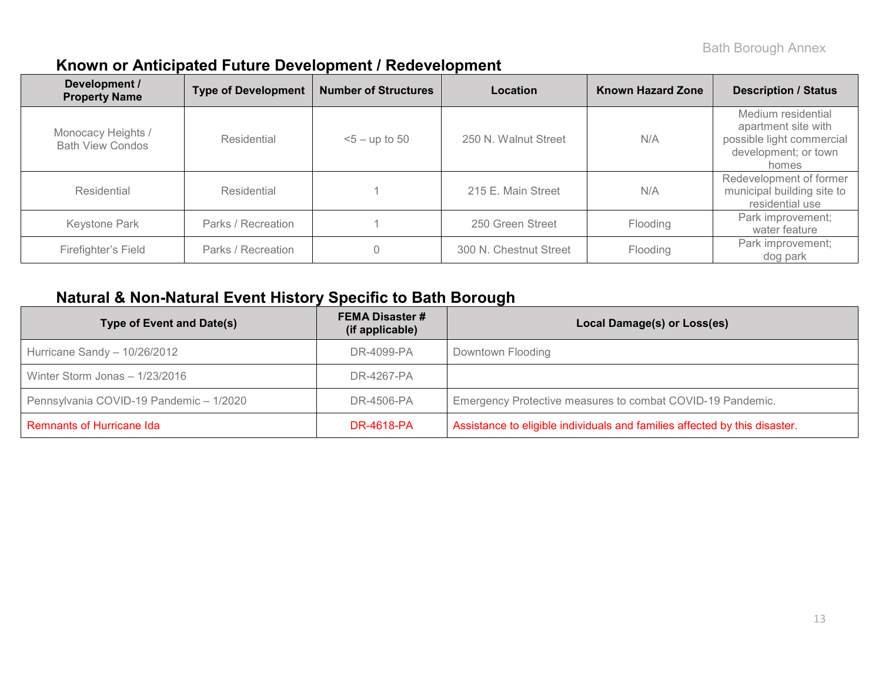## **Known or Anticipated Future Development / Redevelopment**

| Development /<br><b>Property Name</b>         | <b>Type of Development</b> | <b>Number of Structures</b> | Location               | <b>Known Hazard Zone</b> | <b>Description / Status</b>                                                                             |
|-----------------------------------------------|----------------------------|-----------------------------|------------------------|--------------------------|---------------------------------------------------------------------------------------------------------|
| Monocacy Heights /<br><b>Bath View Condos</b> | Residential                | $5 -$ up to 50              | 250 N. Walnut Street   | N/A                      | Medium residential<br>apartment site with<br>possible light commercial<br>development; or town<br>homes |
| Residential                                   | Residential                |                             | 215 E. Main Street     | N/A                      | Redevelopment of former<br>municipal building site to<br>residential use                                |
| Keystone Park                                 | Parks / Recreation         |                             | 250 Green Street       | Flooding                 | Park improvement;<br>water feature                                                                      |
| Firefighter's Field                           | Parks / Recreation         |                             | 300 N. Chestnut Street | Flooding                 | Park improvement;<br>dog park                                                                           |

## **Natural & Non-Natural Event History Specific to Bath Borough**

| <b>Type of Event and Date(s)</b>        | <b>FEMA Disaster #</b><br>(if applicable) | Local Damage(s) or Loss(es)                                                |
|-----------------------------------------|-------------------------------------------|----------------------------------------------------------------------------|
| Hurricane Sandy - 10/26/2012            | DR-4099-PA                                | Downtown Flooding                                                          |
| Winter Storm Jonas - 1/23/2016          | DR-4267-PA                                |                                                                            |
| Pennsylvania COVID-19 Pandemic - 1/2020 | DR-4506-PA                                | Emergency Protective measures to combat COVID-19 Pandemic.                 |
| <b>Remnants of Hurricane Ida</b>        | DR-4618-PA                                | Assistance to eligible individuals and families affected by this disaster. |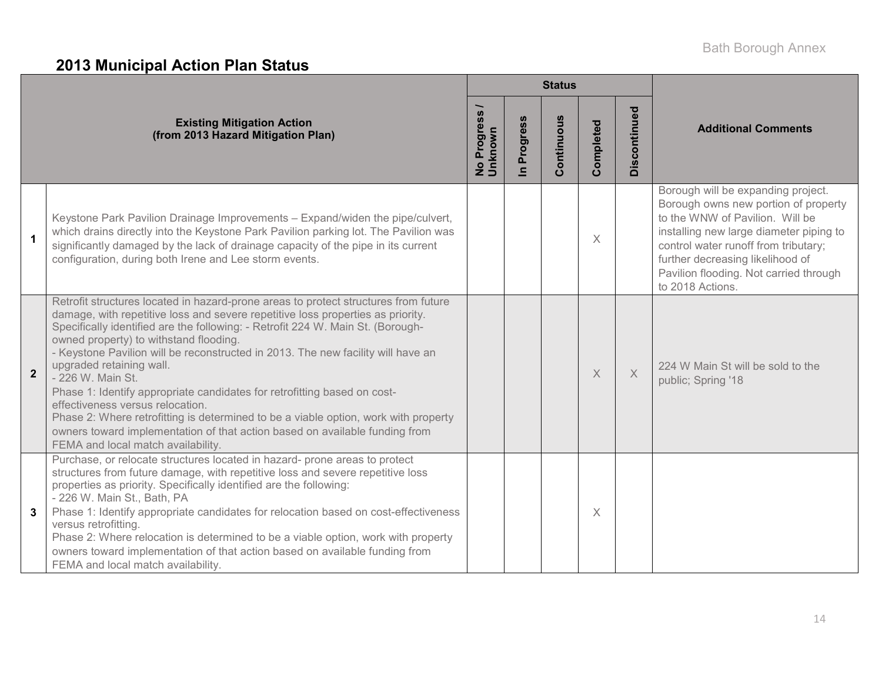# **2013 Municipal Action Plan Status**

|                      |                                                                                                                                                                                                                                                                                                                                                                                                                                                                                                                                                                                                                                                                                                                                                                      | <b>Status</b>                    |                          |            |           |              |                                                                                                                                                                                                                                                                                                    |  |  |
|----------------------|----------------------------------------------------------------------------------------------------------------------------------------------------------------------------------------------------------------------------------------------------------------------------------------------------------------------------------------------------------------------------------------------------------------------------------------------------------------------------------------------------------------------------------------------------------------------------------------------------------------------------------------------------------------------------------------------------------------------------------------------------------------------|----------------------------------|--------------------------|------------|-----------|--------------|----------------------------------------------------------------------------------------------------------------------------------------------------------------------------------------------------------------------------------------------------------------------------------------------------|--|--|
|                      | <b>Existing Mitigation Action</b><br>(from 2013 Hazard Mitigation Plan)                                                                                                                                                                                                                                                                                                                                                                                                                                                                                                                                                                                                                                                                                              | Progress<br>No Progre<br>Unknown | Progress<br>$\mathbf{a}$ | Continuous | Completed | Discontinued | <b>Additional Comments</b>                                                                                                                                                                                                                                                                         |  |  |
| $\blacktriangleleft$ | Keystone Park Pavilion Drainage Improvements - Expand/widen the pipe/culvert,<br>which drains directly into the Keystone Park Pavilion parking lot. The Pavilion was<br>significantly damaged by the lack of drainage capacity of the pipe in its current<br>configuration, during both Irene and Lee storm events.                                                                                                                                                                                                                                                                                                                                                                                                                                                  |                                  |                          |            | $\times$  |              | Borough will be expanding project.<br>Borough owns new portion of property<br>to the WNW of Pavilion. Will be<br>installing new large diameter piping to<br>control water runoff from tributary;<br>further decreasing likelihood of<br>Pavilion flooding. Not carried through<br>to 2018 Actions. |  |  |
| $\overline{2}$       | Retrofit structures located in hazard-prone areas to protect structures from future<br>damage, with repetitive loss and severe repetitive loss properties as priority.<br>Specifically identified are the following: - Retrofit 224 W. Main St. (Borough-<br>owned property) to withstand flooding.<br>- Keystone Pavilion will be reconstructed in 2013. The new facility will have an<br>upgraded retaining wall.<br>- 226 W. Main St.<br>Phase 1: Identify appropriate candidates for retrofitting based on cost-<br>effectiveness versus relocation.<br>Phase 2: Where retrofitting is determined to be a viable option, work with property<br>owners toward implementation of that action based on available funding from<br>FEMA and local match availability. |                                  |                          |            | $\times$  | $\times$     | 224 W Main St will be sold to the<br>public; Spring '18                                                                                                                                                                                                                                            |  |  |
|                      | Purchase, or relocate structures located in hazard- prone areas to protect<br>structures from future damage, with repetitive loss and severe repetitive loss<br>properties as priority. Specifically identified are the following:<br>- 226 W. Main St., Bath, PA<br>Phase 1: Identify appropriate candidates for relocation based on cost-effectiveness<br>versus retrofitting.<br>Phase 2: Where relocation is determined to be a viable option, work with property<br>owners toward implementation of that action based on available funding from<br>FEMA and local match availability.                                                                                                                                                                           |                                  |                          |            | $\times$  |              |                                                                                                                                                                                                                                                                                                    |  |  |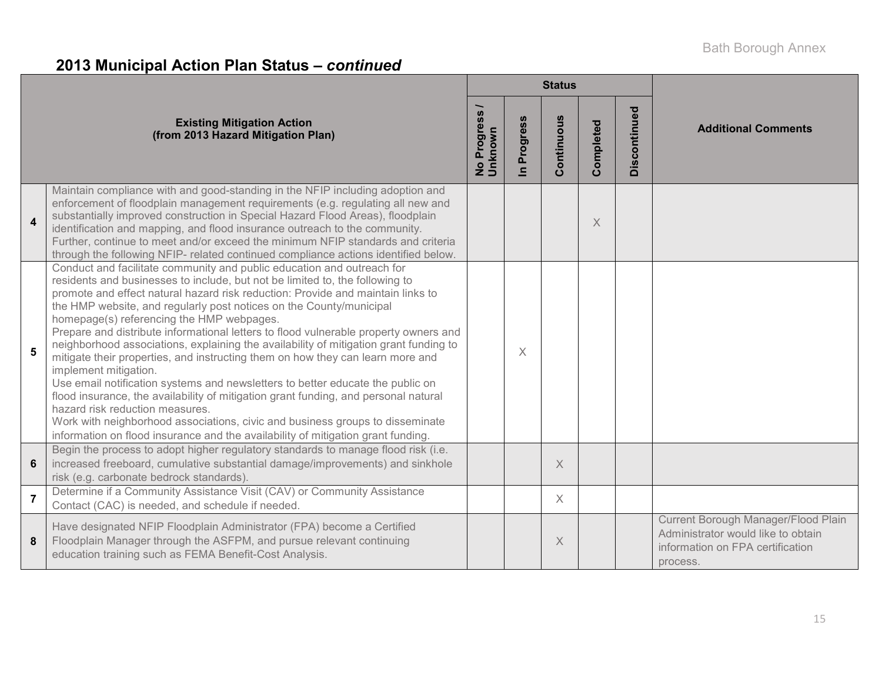# **2013 Municipal Action Plan Status –** *continued*

|                         |                                                                                                                                                                                                                                                                                                                                                                                                                                                                                                                                                                                                                                                                                                                                                                                                                                                                                                                                                                                                                                            |                        |                        | <b>Status</b> |           |              |                                                                                                                           |
|-------------------------|--------------------------------------------------------------------------------------------------------------------------------------------------------------------------------------------------------------------------------------------------------------------------------------------------------------------------------------------------------------------------------------------------------------------------------------------------------------------------------------------------------------------------------------------------------------------------------------------------------------------------------------------------------------------------------------------------------------------------------------------------------------------------------------------------------------------------------------------------------------------------------------------------------------------------------------------------------------------------------------------------------------------------------------------|------------------------|------------------------|---------------|-----------|--------------|---------------------------------------------------------------------------------------------------------------------------|
|                         | <b>Existing Mitigation Action</b><br>(from 2013 Hazard Mitigation Plan)                                                                                                                                                                                                                                                                                                                                                                                                                                                                                                                                                                                                                                                                                                                                                                                                                                                                                                                                                                    | No Progress<br>Unknown | Progress<br>$\epsilon$ | Continuous    | Completed | Discontinued | <b>Additional Comments</b>                                                                                                |
| $\overline{\mathbf{4}}$ | Maintain compliance with and good-standing in the NFIP including adoption and<br>enforcement of floodplain management requirements (e.g. regulating all new and<br>substantially improved construction in Special Hazard Flood Areas), floodplain<br>identification and mapping, and flood insurance outreach to the community.<br>Further, continue to meet and/or exceed the minimum NFIP standards and criteria<br>through the following NFIP- related continued compliance actions identified below.                                                                                                                                                                                                                                                                                                                                                                                                                                                                                                                                   |                        |                        |               | X         |              |                                                                                                                           |
| 5                       | Conduct and facilitate community and public education and outreach for<br>residents and businesses to include, but not be limited to, the following to<br>promote and effect natural hazard risk reduction: Provide and maintain links to<br>the HMP website, and regularly post notices on the County/municipal<br>homepage(s) referencing the HMP webpages.<br>Prepare and distribute informational letters to flood vulnerable property owners and<br>neighborhood associations, explaining the availability of mitigation grant funding to<br>mitigate their properties, and instructing them on how they can learn more and<br>implement mitigation.<br>Use email notification systems and newsletters to better educate the public on<br>flood insurance, the availability of mitigation grant funding, and personal natural<br>hazard risk reduction measures.<br>Work with neighborhood associations, civic and business groups to disseminate<br>information on flood insurance and the availability of mitigation grant funding. |                        | $\times$               |               |           |              |                                                                                                                           |
| 6                       | Begin the process to adopt higher regulatory standards to manage flood risk (i.e.<br>increased freeboard, cumulative substantial damage/improvements) and sinkhole<br>risk (e.g. carbonate bedrock standards).                                                                                                                                                                                                                                                                                                                                                                                                                                                                                                                                                                                                                                                                                                                                                                                                                             |                        |                        | $\times$      |           |              |                                                                                                                           |
| $\overline{7}$          | Determine if a Community Assistance Visit (CAV) or Community Assistance<br>Contact (CAC) is needed, and schedule if needed.                                                                                                                                                                                                                                                                                                                                                                                                                                                                                                                                                                                                                                                                                                                                                                                                                                                                                                                |                        |                        | X             |           |              |                                                                                                                           |
| 8                       | Have designated NFIP Floodplain Administrator (FPA) become a Certified<br>Floodplain Manager through the ASFPM, and pursue relevant continuing<br>education training such as FEMA Benefit-Cost Analysis.                                                                                                                                                                                                                                                                                                                                                                                                                                                                                                                                                                                                                                                                                                                                                                                                                                   |                        |                        | X             |           |              | Current Borough Manager/Flood Plain<br>Administrator would like to obtain<br>information on FPA certification<br>process. |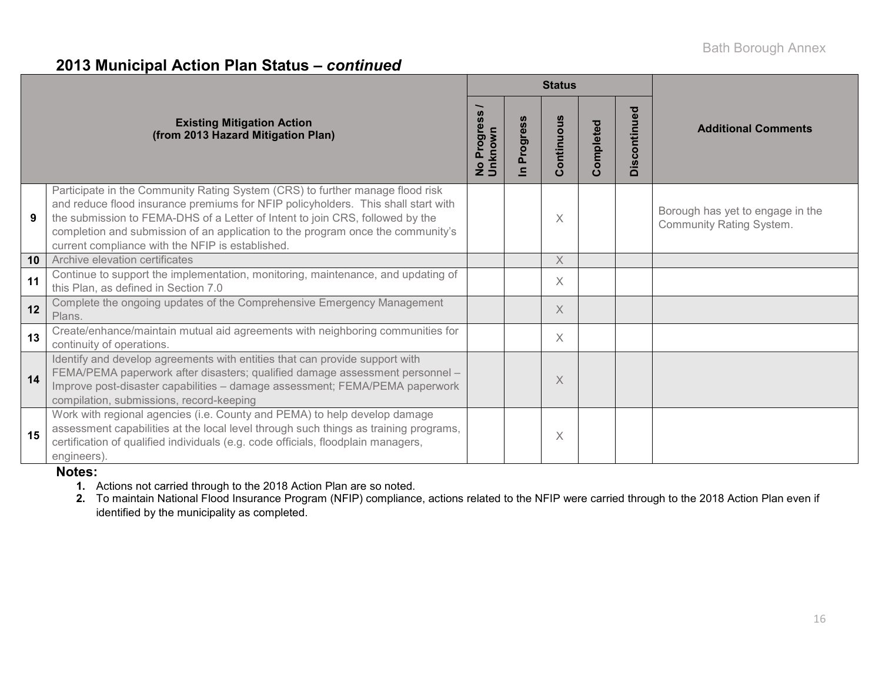## **2013 Municipal Action Plan Status –** *continued*

|                 |                                                                                                                                                                                                                                                                                                                                                                                            |                                              |                          | <b>Status</b> |           |              |                                                                     |
|-----------------|--------------------------------------------------------------------------------------------------------------------------------------------------------------------------------------------------------------------------------------------------------------------------------------------------------------------------------------------------------------------------------------------|----------------------------------------------|--------------------------|---------------|-----------|--------------|---------------------------------------------------------------------|
|                 | <b>Existing Mitigation Action</b><br>(from 2013 Hazard Mitigation Plan)                                                                                                                                                                                                                                                                                                                    | SS<br><b>Progres</b><br>No Progre<br>Unknown | <b>SC</b><br>res<br>rogi | Continuous    | Completed | Discontinued | <b>Additional Comments</b>                                          |
| 9               | Participate in the Community Rating System (CRS) to further manage flood risk<br>and reduce flood insurance premiums for NFIP policyholders. This shall start with<br>the submission to FEMA-DHS of a Letter of Intent to join CRS, followed by the<br>completion and submission of an application to the program once the community's<br>current compliance with the NFIP is established. |                                              |                          | X             |           |              | Borough has yet to engage in the<br><b>Community Rating System.</b> |
| 10 <sup>1</sup> | Archive elevation certificates                                                                                                                                                                                                                                                                                                                                                             |                                              |                          | $\times$      |           |              |                                                                     |
| 11              | Continue to support the implementation, monitoring, maintenance, and updating of<br>this Plan, as defined in Section 7.0                                                                                                                                                                                                                                                                   |                                              |                          | X             |           |              |                                                                     |
| 12              | Complete the ongoing updates of the Comprehensive Emergency Management<br>Plans.                                                                                                                                                                                                                                                                                                           |                                              |                          | X             |           |              |                                                                     |
| 13              | Create/enhance/maintain mutual aid agreements with neighboring communities for<br>continuity of operations.                                                                                                                                                                                                                                                                                |                                              |                          | $\times$      |           |              |                                                                     |
| 14              | Identify and develop agreements with entities that can provide support with<br>FEMA/PEMA paperwork after disasters; qualified damage assessment personnel -<br>Improve post-disaster capabilities - damage assessment; FEMA/PEMA paperwork<br>compilation, submissions, record-keeping                                                                                                     |                                              |                          | X             |           |              |                                                                     |
| 15              | Work with regional agencies (i.e. County and PEMA) to help develop damage<br>assessment capabilities at the local level through such things as training programs,<br>certification of qualified individuals (e.g. code officials, floodplain managers,<br>engineers).                                                                                                                      |                                              |                          | Χ             |           |              |                                                                     |

### **Notes:**

**1.** Actions not carried through to the 2018 Action Plan are so noted.

**2.** To maintain National Flood Insurance Program (NFIP) compliance, actions related to the NFIP were carried through to the 2018 Action Plan even if identified by the municipality as completed.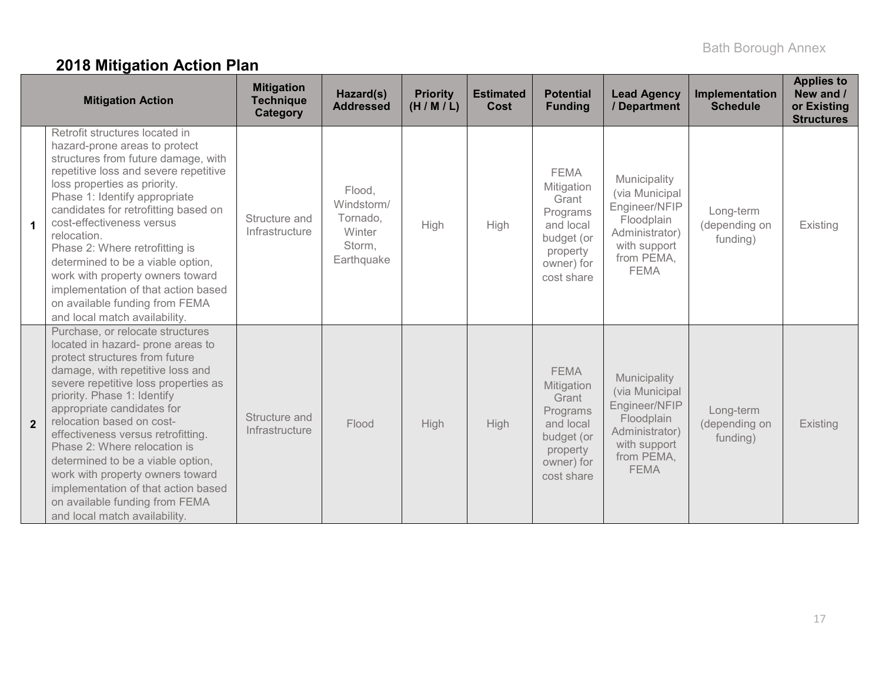# **2018 Mitigation Action Plan**

|                      | <b>Mitigation Action</b>                                                                                                                                                                                                                                                                                                                                                                                                                                                                                                               | <b>Mitigation</b><br><b>Technique</b><br>Category | Hazard(s)<br><b>Addressed</b>                                      | <b>Priority</b><br>(H/M/L) | <b>Estimated</b><br>Cost | <b>Potential</b><br><b>Funding</b>                                                                                | <b>Lead Agency</b><br>/ Department                                                                                           | Implementation<br><b>Schedule</b>      | <b>Applies to</b><br>New and /<br>or Existing<br><b>Structures</b> |
|----------------------|----------------------------------------------------------------------------------------------------------------------------------------------------------------------------------------------------------------------------------------------------------------------------------------------------------------------------------------------------------------------------------------------------------------------------------------------------------------------------------------------------------------------------------------|---------------------------------------------------|--------------------------------------------------------------------|----------------------------|--------------------------|-------------------------------------------------------------------------------------------------------------------|------------------------------------------------------------------------------------------------------------------------------|----------------------------------------|--------------------------------------------------------------------|
| $\blacktriangleleft$ | Retrofit structures located in<br>hazard-prone areas to protect<br>structures from future damage, with<br>repetitive loss and severe repetitive<br>loss properties as priority.<br>Phase 1: Identify appropriate<br>candidates for retrofitting based on<br>cost-effectiveness versus<br>relocation.<br>Phase 2: Where retrofitting is<br>determined to be a viable option,<br>work with property owners toward<br>implementation of that action based<br>on available funding from FEMA<br>and local match availability.              | Structure and<br>Infrastructure                   | Flood,<br>Windstorm/<br>Tornado,<br>Winter<br>Storm,<br>Earthquake | High                       | High                     | <b>FEMA</b><br>Mitigation<br>Grant<br>Programs<br>and local<br>budget (or<br>property<br>owner) for<br>cost share | Municipality<br>(via Municipal<br>Engineer/NFIP<br>Floodplain<br>Administrator)<br>with support<br>from PEMA,<br><b>FEMA</b> | Long-term<br>(depending on<br>funding) | Existing                                                           |
| $\overline{2}$       | Purchase, or relocate structures<br>located in hazard- prone areas to<br>protect structures from future<br>damage, with repetitive loss and<br>severe repetitive loss properties as<br>priority. Phase 1: Identify<br>appropriate candidates for<br>relocation based on cost-<br>effectiveness versus retrofitting.<br>Phase 2: Where relocation is<br>determined to be a viable option,<br>work with property owners toward<br>implementation of that action based<br>on available funding from FEMA<br>and local match availability. | Structure and<br>Infrastructure                   | Flood                                                              | High                       | High                     | <b>FEMA</b><br>Mitigation<br>Grant<br>Programs<br>and local<br>budget (or<br>property<br>owner) for<br>cost share | Municipality<br>(via Municipal<br>Engineer/NFIP<br>Floodplain<br>Administrator)<br>with support<br>from PEMA,<br><b>FEMA</b> | Long-term<br>(depending on<br>funding) | Existing                                                           |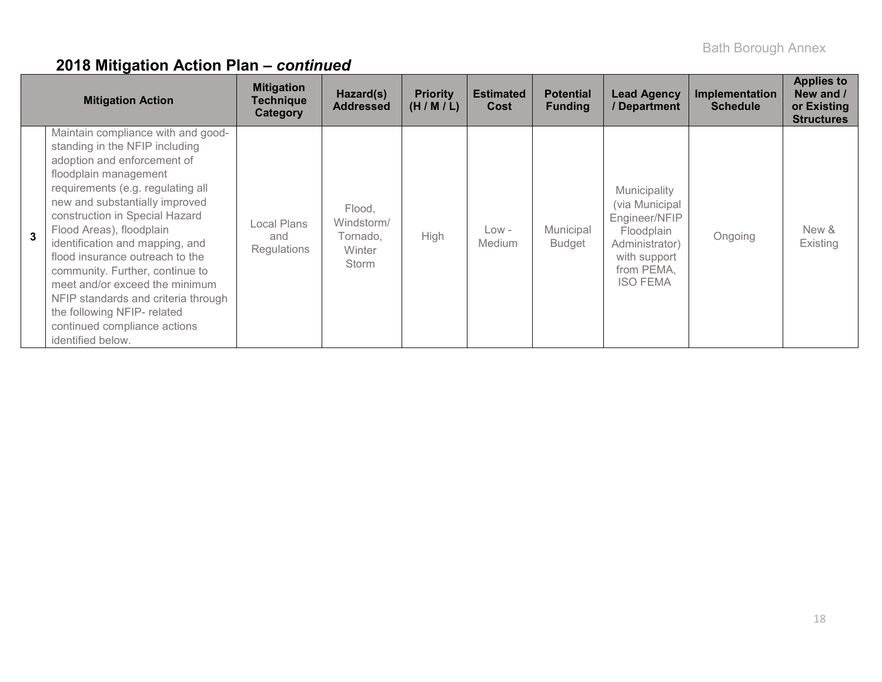|                | <b>Mitigation Action</b>                                                                                                                                                                                                                                                                                                                                                                                                                                                                                                                | <b>Mitigation</b><br><b>Technique</b><br>Category | Hazard(s)<br><b>Addressed</b>                       | <b>Priority</b><br>(H/M/L) | <b>Estimated</b><br>Cost | <b>Potential</b><br><b>Funding</b> | <b>Lead Agency</b><br>/ Department                                                                                               | Implementation<br><b>Schedule</b> | <b>Applies to</b><br>New and /<br>or Existing<br><b>Structures</b> |
|----------------|-----------------------------------------------------------------------------------------------------------------------------------------------------------------------------------------------------------------------------------------------------------------------------------------------------------------------------------------------------------------------------------------------------------------------------------------------------------------------------------------------------------------------------------------|---------------------------------------------------|-----------------------------------------------------|----------------------------|--------------------------|------------------------------------|----------------------------------------------------------------------------------------------------------------------------------|-----------------------------------|--------------------------------------------------------------------|
| $\overline{3}$ | Maintain compliance with and good-<br>standing in the NFIP including<br>adoption and enforcement of<br>floodplain management<br>requirements (e.g. regulating all<br>new and substantially improved<br>construction in Special Hazard<br>Flood Areas), floodplain<br>identification and mapping, and<br>flood insurance outreach to the<br>community. Further, continue to<br>meet and/or exceed the minimum<br>NFIP standards and criteria through<br>the following NFIP- related<br>continued compliance actions<br>identified below. | Local Plans<br>and<br><b>Regulations</b>          | Flood.<br>Windstorm/<br>Tornado.<br>Winter<br>Storm | High                       | $Low -$<br><b>Medium</b> | Municipal<br><b>Budget</b>         | Municipality<br>(via Municipal<br>Engineer/NFIP<br>Floodplain<br>Administrator)<br>with support<br>from PEMA,<br><b>ISO FEMA</b> | Ongoing                           | New &<br>Existing                                                  |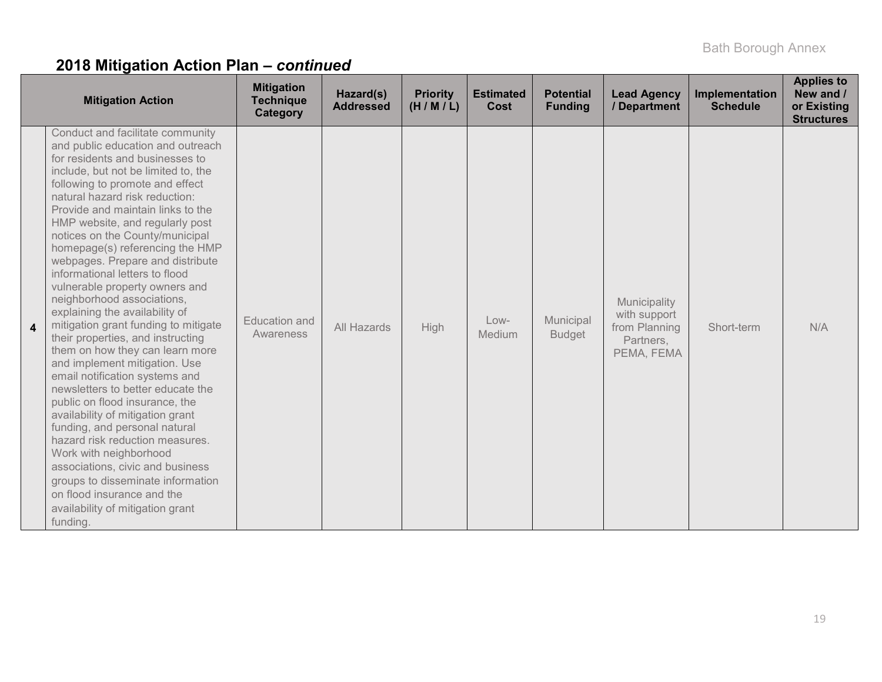|   | <b>Mitigation Action</b>                                                                                                                                                                                                                                                                                                                                                                                                                                                                                                                                                                                                                                                                                                                                                                                                                                                                                                                                                                                                                                                                      | <b>Mitigation</b><br><b>Technique</b><br>Category | Hazard(s)<br><b>Addressed</b> | <b>Priority</b><br>(H/M/L) | <b>Estimated</b><br>Cost | <b>Potential</b><br><b>Funding</b> | <b>Lead Agency</b><br>/ Department                                       | Implementation<br><b>Schedule</b> | <b>Applies to</b><br>New and /<br>or Existing<br><b>Structures</b> |
|---|-----------------------------------------------------------------------------------------------------------------------------------------------------------------------------------------------------------------------------------------------------------------------------------------------------------------------------------------------------------------------------------------------------------------------------------------------------------------------------------------------------------------------------------------------------------------------------------------------------------------------------------------------------------------------------------------------------------------------------------------------------------------------------------------------------------------------------------------------------------------------------------------------------------------------------------------------------------------------------------------------------------------------------------------------------------------------------------------------|---------------------------------------------------|-------------------------------|----------------------------|--------------------------|------------------------------------|--------------------------------------------------------------------------|-----------------------------------|--------------------------------------------------------------------|
| 4 | Conduct and facilitate community<br>and public education and outreach<br>for residents and businesses to<br>include, but not be limited to, the<br>following to promote and effect<br>natural hazard risk reduction:<br>Provide and maintain links to the<br>HMP website, and regularly post<br>notices on the County/municipal<br>homepage(s) referencing the HMP<br>webpages. Prepare and distribute<br>informational letters to flood<br>vulnerable property owners and<br>neighborhood associations,<br>explaining the availability of<br>mitigation grant funding to mitigate<br>their properties, and instructing<br>them on how they can learn more<br>and implement mitigation. Use<br>email notification systems and<br>newsletters to better educate the<br>public on flood insurance, the<br>availability of mitigation grant<br>funding, and personal natural<br>hazard risk reduction measures.<br>Work with neighborhood<br>associations, civic and business<br>groups to disseminate information<br>on flood insurance and the<br>availability of mitigation grant<br>funding. | <b>Education</b> and<br>Awareness                 | All Hazards                   | High                       | $Low-$<br>Medium         | Municipal<br><b>Budget</b>         | Municipality<br>with support<br>from Planning<br>Partners,<br>PEMA, FEMA | Short-term                        | N/A                                                                |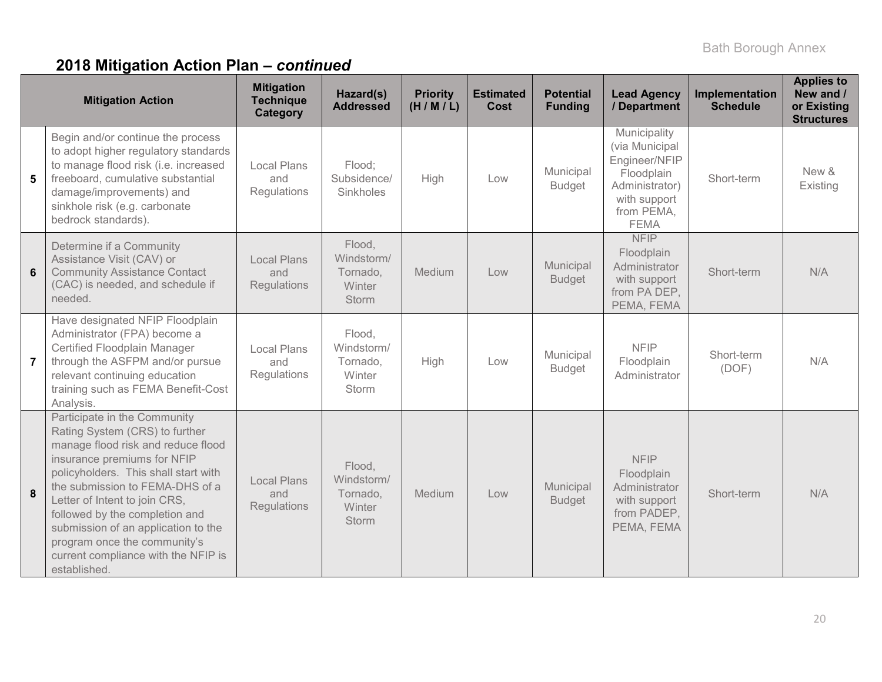|                | <b>Mitigation Action</b>                                                                                                                                                                                                                                                                                                                                                                                        | <b>Mitigation</b><br><b>Technique</b><br><b>Category</b> | Hazard(s)<br><b>Addressed</b>                              | <b>Priority</b><br>(H/M/L) | <b>Estimated</b><br>Cost | <b>Potential</b><br><b>Funding</b> | <b>Lead Agency</b><br>/ Department                                                                                           | Implementation<br><b>Schedule</b> | <b>Applies to</b><br>New and /<br>or Existing<br><b>Structures</b> |
|----------------|-----------------------------------------------------------------------------------------------------------------------------------------------------------------------------------------------------------------------------------------------------------------------------------------------------------------------------------------------------------------------------------------------------------------|----------------------------------------------------------|------------------------------------------------------------|----------------------------|--------------------------|------------------------------------|------------------------------------------------------------------------------------------------------------------------------|-----------------------------------|--------------------------------------------------------------------|
| 5              | Begin and/or continue the process<br>to adopt higher regulatory standards<br>to manage flood risk (i.e. increased<br>freeboard, cumulative substantial<br>damage/improvements) and<br>sinkhole risk (e.g. carbonate<br>bedrock standards).                                                                                                                                                                      | <b>Local Plans</b><br>and<br>Regulations                 | Flood;<br>Subsidence/<br>Sinkholes                         | High                       | Low                      | Municipal<br><b>Budget</b>         | Municipality<br>(via Municipal<br>Engineer/NFIP<br>Floodplain<br>Administrator)<br>with support<br>from PEMA,<br><b>FEMA</b> | Short-term                        | New &<br>Existing                                                  |
| 6              | Determine if a Community<br>Assistance Visit (CAV) or<br><b>Community Assistance Contact</b><br>(CAC) is needed, and schedule if<br>needed.                                                                                                                                                                                                                                                                     | <b>Local Plans</b><br>and<br>Regulations                 | Flood,<br>Windstorm/<br>Tornado,<br>Winter<br><b>Storm</b> | Medium                     | Low                      | Municipal<br><b>Budget</b>         | <b>NFIP</b><br>Floodplain<br>Administrator<br>with support<br>from PA DEP,<br>PEMA, FEMA                                     | Short-term                        | N/A                                                                |
| $\overline{7}$ | Have designated NFIP Floodplain<br>Administrator (FPA) become a<br>Certified Floodplain Manager<br>through the ASFPM and/or pursue<br>relevant continuing education<br>training such as FEMA Benefit-Cost<br>Analysis.                                                                                                                                                                                          | <b>Local Plans</b><br>and<br>Regulations                 | Flood,<br>Windstorm/<br>Tornado,<br>Winter<br><b>Storm</b> | High                       | Low                      | Municipal<br><b>Budget</b>         | <b>NFIP</b><br>Floodplain<br>Administrator                                                                                   | Short-term<br>(DOF)               | N/A                                                                |
| 8              | Participate in the Community<br>Rating System (CRS) to further<br>manage flood risk and reduce flood<br>insurance premiums for NFIP<br>policyholders. This shall start with<br>the submission to FEMA-DHS of a<br>Letter of Intent to join CRS,<br>followed by the completion and<br>submission of an application to the<br>program once the community's<br>current compliance with the NFIP is<br>established. | <b>Local Plans</b><br>and<br>Regulations                 | Flood,<br>Windstorm/<br>Tornado,<br>Winter<br><b>Storm</b> | Medium                     | Low                      | Municipal<br><b>Budget</b>         | <b>NFIP</b><br>Floodplain<br>Administrator<br>with support<br>from PADEP,<br>PEMA, FEMA                                      | Short-term                        | N/A                                                                |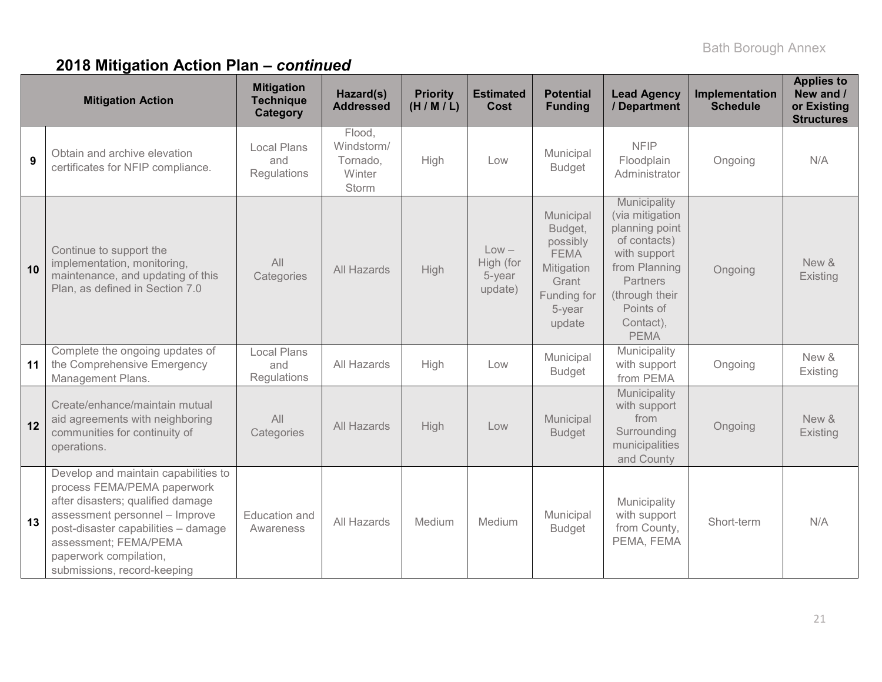|    | <b>Mitigation Action</b>                                                                                                                                                                                                                                            | <b>Mitigation</b><br><b>Technique</b><br><b>Category</b> | Hazard(s)<br><b>Addressed</b>                       | <b>Priority</b><br>(H/M/L) | <b>Estimated</b><br>Cost                  | <b>Potential</b><br><b>Funding</b>                                                                        | <b>Lead Agency</b><br>/ Department                                                                                                                                               | Implementation<br><b>Schedule</b> | <b>Applies to</b><br>New and /<br>or Existing<br><b>Structures</b> |
|----|---------------------------------------------------------------------------------------------------------------------------------------------------------------------------------------------------------------------------------------------------------------------|----------------------------------------------------------|-----------------------------------------------------|----------------------------|-------------------------------------------|-----------------------------------------------------------------------------------------------------------|----------------------------------------------------------------------------------------------------------------------------------------------------------------------------------|-----------------------------------|--------------------------------------------------------------------|
| 9  | Obtain and archive elevation<br>certificates for NFIP compliance.                                                                                                                                                                                                   | <b>Local Plans</b><br>and<br>Regulations                 | Flood,<br>Windstorm/<br>Tornado,<br>Winter<br>Storm | High                       | Low                                       | Municipal<br><b>Budget</b>                                                                                | <b>NFIP</b><br>Floodplain<br>Administrator                                                                                                                                       | Ongoing                           | N/A                                                                |
| 10 | Continue to support the<br>implementation, monitoring,<br>maintenance, and updating of this<br>Plan, as defined in Section 7.0                                                                                                                                      | All<br>Categories                                        | All Hazards                                         | High                       | $Low -$<br>High (for<br>5-year<br>update) | Municipal<br>Budget,<br>possibly<br><b>FEMA</b><br>Mitigation<br>Grant<br>Funding for<br>5-year<br>update | Municipality<br>(via mitigation<br>planning point<br>of contacts)<br>with support<br>from Planning<br><b>Partners</b><br>(through their<br>Points of<br>Contact),<br><b>PEMA</b> | Ongoing                           | New &<br>Existing                                                  |
| 11 | Complete the ongoing updates of<br>the Comprehensive Emergency<br>Management Plans.                                                                                                                                                                                 | Local Plans<br>and<br>Regulations                        | All Hazards                                         | High                       | Low                                       | Municipal<br><b>Budget</b>                                                                                | Municipality<br>with support<br>from PEMA                                                                                                                                        | Ongoing                           | New &<br>Existing                                                  |
| 12 | Create/enhance/maintain mutual<br>aid agreements with neighboring<br>communities for continuity of<br>operations.                                                                                                                                                   | All<br>Categories                                        | All Hazards                                         | High                       | Low                                       | Municipal<br><b>Budget</b>                                                                                | Municipality<br>with support<br>from<br>Surrounding<br>municipalities<br>and County                                                                                              | Ongoing                           | New &<br>Existing                                                  |
| 13 | Develop and maintain capabilities to<br>process FEMA/PEMA paperwork<br>after disasters; qualified damage<br>assessment personnel - Improve<br>post-disaster capabilities - damage<br>assessment; FEMA/PEMA<br>paperwork compilation,<br>submissions, record-keeping | Education and<br>Awareness                               | All Hazards                                         | Medium                     | Medium                                    | Municipal<br><b>Budget</b>                                                                                | Municipality<br>with support<br>from County,<br>PEMA, FEMA                                                                                                                       | Short-term                        | N/A                                                                |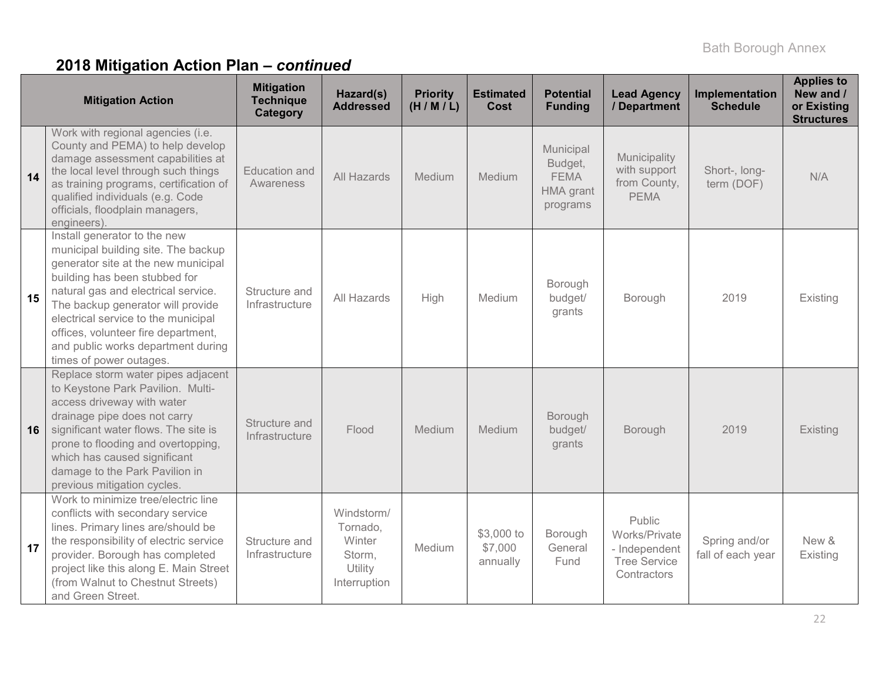|    | <b>Mitigation Action</b>                                                                                                                                                                                                                                                                                                                                               | <b>Mitigation</b><br><b>Technique</b><br>Category | Hazard(s)<br><b>Addressed</b>                                         | <b>Priority</b><br>(H/M/L) | <b>Estimated</b><br><b>Cost</b>   | <b>Potential</b><br><b>Funding</b>                                  | <b>Lead Agency</b><br>/ Department                                             | Implementation<br><b>Schedule</b>  | <b>Applies to</b><br>New and /<br>or Existing<br><b>Structures</b> |
|----|------------------------------------------------------------------------------------------------------------------------------------------------------------------------------------------------------------------------------------------------------------------------------------------------------------------------------------------------------------------------|---------------------------------------------------|-----------------------------------------------------------------------|----------------------------|-----------------------------------|---------------------------------------------------------------------|--------------------------------------------------------------------------------|------------------------------------|--------------------------------------------------------------------|
| 14 | Work with regional agencies (i.e.<br>County and PEMA) to help develop<br>damage assessment capabilities at<br>the local level through such things<br>as training programs, certification of<br>qualified individuals (e.g. Code<br>officials, floodplain managers,<br>engineers).                                                                                      | Education and<br>Awareness                        | All Hazards                                                           | Medium                     | Medium                            | Municipal<br>Budget,<br><b>FEMA</b><br><b>HMA</b> grant<br>programs | Municipality<br>with support<br>from County,<br><b>PEMA</b>                    | Short-, long-<br>term (DOF)        | N/A                                                                |
| 15 | Install generator to the new<br>municipal building site. The backup<br>generator site at the new municipal<br>building has been stubbed for<br>natural gas and electrical service.<br>The backup generator will provide<br>electrical service to the municipal<br>offices, volunteer fire department,<br>and public works department during<br>times of power outages. | Structure and<br>Infrastructure                   | All Hazards                                                           | High                       | Medium                            | Borough<br>budget/<br>grants                                        | Borough                                                                        | 2019                               | Existing                                                           |
| 16 | Replace storm water pipes adjacent<br>to Keystone Park Pavilion. Multi-<br>access driveway with water<br>drainage pipe does not carry<br>significant water flows. The site is<br>prone to flooding and overtopping,<br>which has caused significant<br>damage to the Park Pavilion in<br>previous mitigation cycles.                                                   | Structure and<br>Infrastructure                   | Flood                                                                 | Medium                     | Medium                            | Borough<br>budget/<br>grants                                        | Borough                                                                        | 2019                               | Existing                                                           |
| 17 | Work to minimize tree/electric line<br>conflicts with secondary service<br>lines. Primary lines are/should be<br>the responsibility of electric service<br>provider. Borough has completed<br>project like this along E. Main Street<br>(from Walnut to Chestnut Streets)<br>and Green Street.                                                                         | Structure and<br>Infrastructure                   | Windstorm/<br>Tornado,<br>Winter<br>Storm,<br>Utility<br>Interruption | Medium                     | \$3,000 to<br>\$7,000<br>annually | Borough<br>General<br>Fund                                          | Public<br>Works/Private<br>- Independent<br><b>Tree Service</b><br>Contractors | Spring and/or<br>fall of each year | New &<br>Existing                                                  |